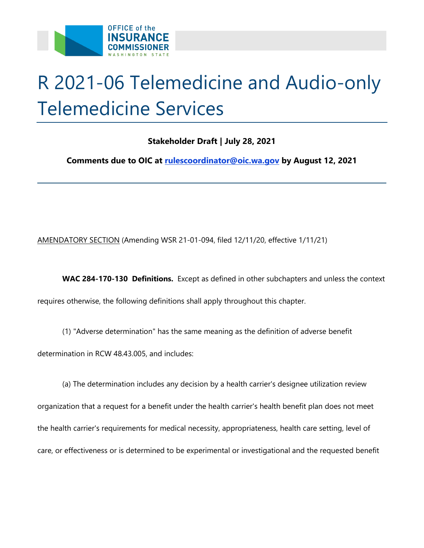

# R 2021-06 Telemedicine and Audio-only Telemedicine Services

## **Stakeholder Draft | July 28, 2021**

 **Comments due to OIC at [rulescoordinator@oic.wa.gov](mailto:rulescoordinator@oic.wa.gov) by August 12, 2021** 

AMENDATORY SECTION (Amending WSR 21-01-094, filed 12/11/20, effective 1/11/21)

 **WAC 284-170-130 Definitions.** Except as defined in other subchapters and unless the context requires otherwise, the following definitions shall apply throughout this chapter.

- determination in RCW 48.43.005, and includes: (1) "Adverse determination" has the same meaning as the definition of adverse benefit
- (a) The determination includes any decision by a health carrier's designee utilization review organization that a request for a benefit under the health carrier's health benefit plan does not meet the health carrier's requirements for medical necessity, appropriateness, health care setting, level of care, or effectiveness or is determined to be experimental or investigational and the requested benefit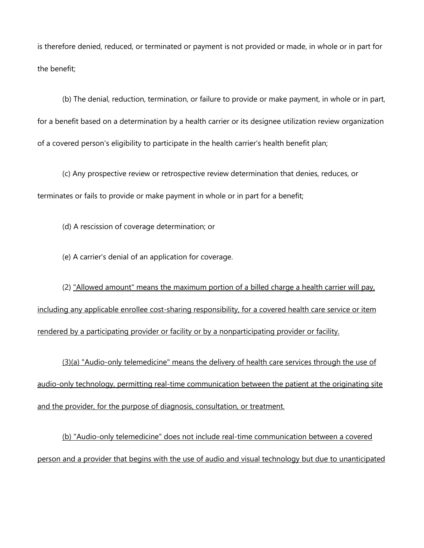is therefore denied, reduced, or terminated or payment is not provided or made, in whole or in part for the benefit;

(b) The denial, reduction, termination, or failure to provide or make payment, in whole or in part, for a benefit based on a determination by a health carrier or its designee utilization review organization of a covered person's eligibility to participate in the health carrier's health benefit plan;

(c) Any prospective review or retrospective review determination that denies, reduces, or terminates or fails to provide or make payment in whole or in part for a benefit;

(d) A rescission of coverage determination; or

(e) A carrier's denial of an application for coverage.

 (2) "Allowed amount" means the maximum portion of a billed charge a health carrier will pay, including any applicable enrollee cost-sharing responsibility, for a covered health care service or item rendered by a participating provider or facility or by a nonparticipating provider or facility.

(3)(a) "Audio-only telemedicine" means the delivery of health care services through the use of audio-only technology, permitting real-time communication between the patient at the originating site and the provider, for the purpose of diagnosis, consultation, or treatment.

 (b) "Audio-only telemedicine" does not include real-time communication between a covered person and a provider that begins with the use of audio and visual technology but due to unanticipated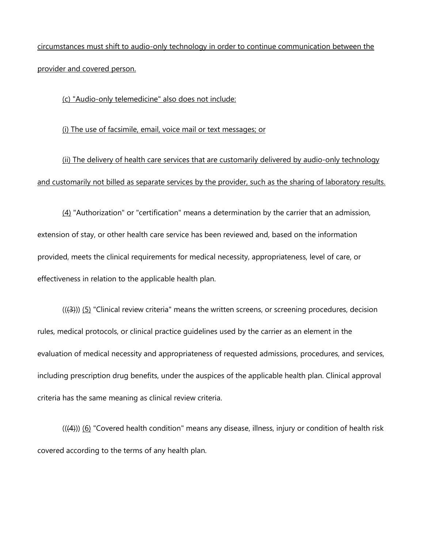circumstances must shift to audio-only technology in order to continue communication between the provider and covered person.

(c) "Audio-only telemedicine" also does not include:

(i) The use of facsimile, email, voice mail or text messages; or

(ii) The delivery of health care services that are customarily delivered by audio-only technology and customarily not billed as separate services by the provider, such as the sharing of laboratory results.

 $(4)$  "Authorization" or "certification" means a determination by the carrier that an admission, extension of stay, or other health care service has been reviewed and, based on the information provided, meets the clinical requirements for medical necessity, appropriateness, level of care, or effectiveness in relation to the applicable health plan.

 $((4))$  (5) "Clinical review criteria" means the written screens, or screening procedures, decision rules, medical protocols, or clinical practice guidelines used by the carrier as an element in the evaluation of medical necessity and appropriateness of requested admissions, procedures, and services, including prescription drug benefits, under the auspices of the applicable health plan. Clinical approval criteria has the same meaning as clinical review criteria.

 $((4))$  (6) "Covered health condition" means any disease, illness, injury or condition of health risk covered according to the terms of any health plan.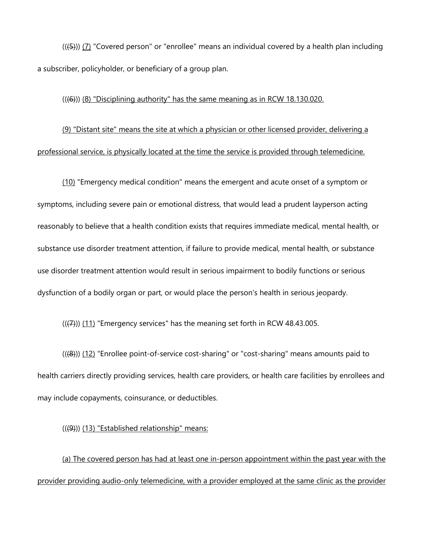$((15))$  ( $(7)$  "Covered person" or "enrollee" means an individual covered by a health plan including a subscriber, policyholder, or beneficiary of a group plan.

#### $((46))$  ( $(8)$  "Disciplining authority" has the same meaning as in RCW 18.130.020.

(9) "Distant site" means the site at which a physician or other licensed provider, delivering a professional service, is physically located at the time the service is provided through telemedicine.

(10) "Emergency medical condition" means the emergent and acute onset of a symptom or symptoms, including severe pain or emotional distress, that would lead a prudent layperson acting reasonably to believe that a health condition exists that requires immediate medical, mental health, or substance use disorder treatment attention, if failure to provide medical, mental health, or substance use disorder treatment attention would result in serious impairment to bodily functions or serious dysfunction of a bodily organ or part, or would place the person's health in serious jeopardy.

 $((\overline{(7)}))$  (11) "Emergency services" has the meaning set forth in RCW 48.43.005.

 health carriers directly providing services, health care providers, or health care facilities by enrollees and  $(((8)))(12)$  "Enrollee point-of-service cost-sharing" or "cost-sharing" means amounts paid to may include copayments, coinsurance, or deductibles.

#### $((9))$  (13) "Established relationship" means:

(a) The covered person has had at least one in-person appointment within the past year with the provider providing audio-only telemedicine, with a provider employed at the same clinic as the provider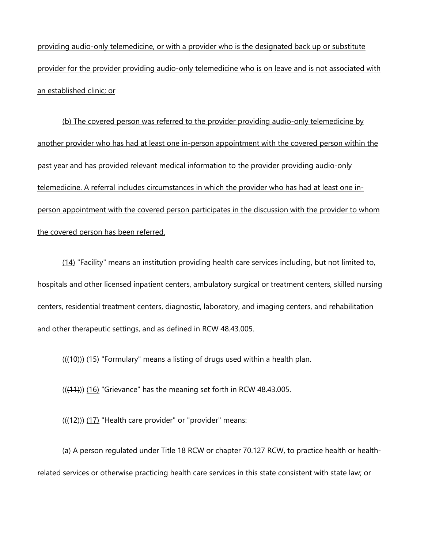providing audio-only telemedicine, or with a provider who is the designated back up or substitute provider for the provider providing audio-only telemedicine who is on leave and is not associated with an established clinic; or

 person appointment with the covered person participates in the discussion with the provider to whom (b) The covered person was referred to the provider providing audio-only telemedicine by another provider who has had at least one in-person appointment with the covered person within the past year and has provided relevant medical information to the provider providing audio-only telemedicine. A referral includes circumstances in which the provider who has had at least one inthe covered person has been referred.

 hospitals and other licensed inpatient centers, ambulatory surgical or treatment centers, skilled nursing (14) "Facility" means an institution providing health care services including, but not limited to, centers, residential treatment centers, diagnostic, laboratory, and imaging centers, and rehabilitation and other therapeutic settings, and as defined in RCW 48.43.005.

 $(((10)))(15)$  "Formulary" means a listing of drugs used within a health plan.

 $(((11)))(16)$  "Grievance" has the meaning set forth in RCW 48.43.005.

 $(((12)))(17)$  "Health care provider" or "provider" means:

(a) A person regulated under Title 18 RCW or chapter 70.127 RCW, to practice health or healthrelated services or otherwise practicing health care services in this state consistent with state law; or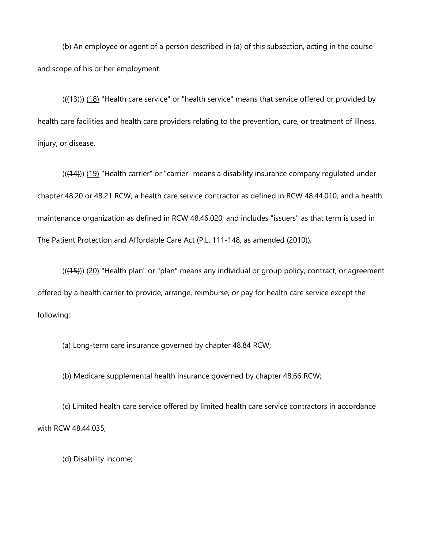(b) An employee or agent of a person described in (a) of this subsection, acting in the course and scope of his or her employment.

 $((+3))$  (18) "Health care service" or "health service" means that service offered or provided by health care facilities and health care providers relating to the prevention, cure, or treatment of illness, injury, or disease.

 $(((14)))(19)$  "Health carrier" or "carrier" means a disability insurance company regulated under chapter 48.20 or 48.21 RCW, a health care service contractor as defined in RCW 48.44.010, and a health maintenance organization as defined in RCW 48.46.020, and includes "issuers" as that term is used in The Patient Protection and Affordable Care Act (P.L. 111-148, as amended (2010)).

 $((45))$  (20) "Health plan" or "plan" means any individual or group policy, contract, or agreement offered by a health carrier to provide, arrange, reimburse, or pay for health care service except the following:

(a) Long-term care insurance governed by chapter 48.84 RCW;

(b) Medicare supplemental health insurance governed by chapter 48.66 RCW;

(c) Limited health care service offered by limited health care service contractors in accordance with RCW 48.44.035;

(d) Disability income;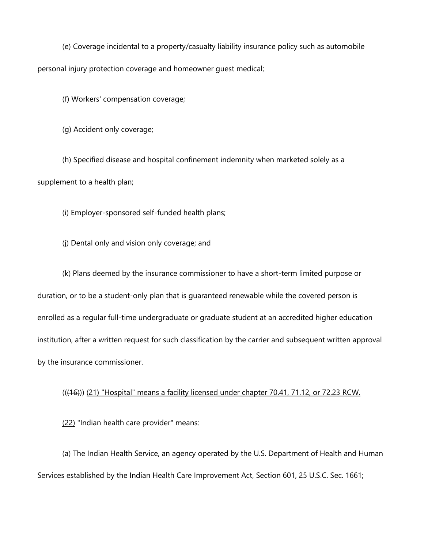(e) Coverage incidental to a property/casualty liability insurance policy such as automobile personal injury protection coverage and homeowner guest medical;

(f) Workers' compensation coverage;

(g) Accident only coverage;

 (h) Specified disease and hospital confinement indemnity when marketed solely as a supplement to a health plan;

(i) Employer-sponsored self-funded health plans;

(j) Dental only and vision only coverage; and

(k) Plans deemed by the insurance commissioner to have a short-term limited purpose or duration, or to be a student-only plan that is guaranteed renewable while the covered person is enrolled as a regular full-time undergraduate or graduate student at an accredited higher education institution, after a written request for such classification by the carrier and subsequent written approval by the insurance commissioner.

### (((16))) (21) "Hospital" means a facility licensed under chapter 70.41, 71.12, or 72.23 RCW.

(22) "Indian health care provider" means:

(a) The Indian Health Service, an agency operated by the U.S. Department of Health and Human Services established by the Indian Health Care Improvement Act, Section 601, 25 U.S.C. Sec. 1661;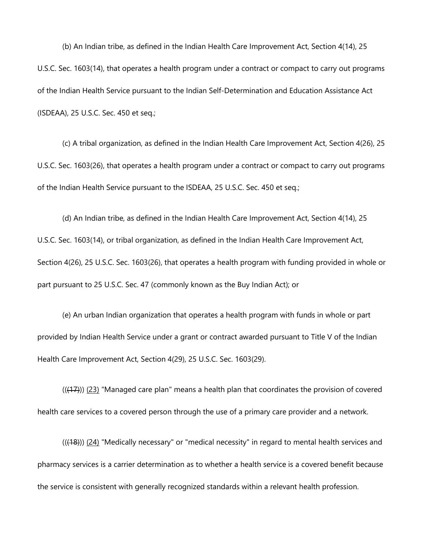(b) An Indian tribe, as defined in the Indian Health Care Improvement Act, Section 4(14), 25 U.S.C. Sec. 1603(14), that operates a health program under a contract or compact to carry out programs of the Indian Health Service pursuant to the Indian Self-Determination and Education Assistance Act (ISDEAA), 25 U.S.C. Sec. 450 et seq.;

(c) A tribal organization, as defined in the Indian Health Care Improvement Act, Section 4(26), 25 U.S.C. Sec. 1603(26), that operates a health program under a contract or compact to carry out programs of the Indian Health Service pursuant to the ISDEAA, 25 U.S.C. Sec. 450 et seq.;

 (d) An Indian tribe, as defined in the Indian Health Care Improvement Act, Section 4(14), 25 U.S.C. Sec. 1603(14), or tribal organization, as defined in the Indian Health Care Improvement Act, Section 4(26), 25 U.S.C. Sec. 1603(26), that operates a health program with funding provided in whole or part pursuant to 25 U.S.C. Sec. 47 (commonly known as the Buy Indian Act); or

(e) An urban Indian organization that operates a health program with funds in whole or part provided by Indian Health Service under a grant or contract awarded pursuant to Title V of the Indian Health Care Improvement Act, Section 4(29), 25 U.S.C. Sec. 1603(29).

 $((+7))$   $(23)$  "Managed care plan" means a health plan that coordinates the provision of covered health care services to a covered person through the use of a primary care provider and a network.

 $((18))$   $(24)$  "Medically necessary" or "medical necessity" in regard to mental health services and pharmacy services is a carrier determination as to whether a health service is a covered benefit because the service is consistent with generally recognized standards within a relevant health profession.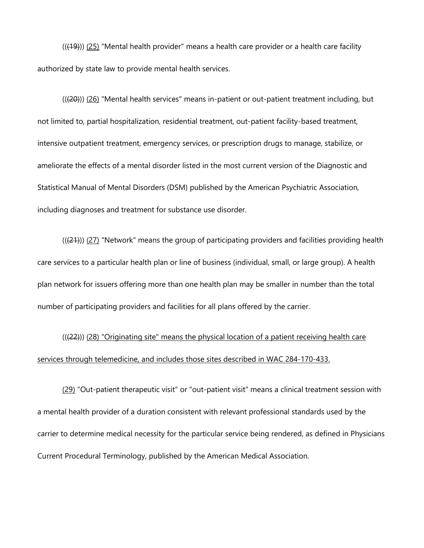$((49))$   $(25)$  "Mental health provider" means a health care provider or a health care facility authorized by state law to provide mental health services.

 ameliorate the effects of a mental disorder listed in the most current version of the Diagnostic and  $((20))$  (26) "Mental health services" means in-patient or out-patient treatment including, but not limited to, partial hospitalization, residential treatment, out-patient facility-based treatment, intensive outpatient treatment, emergency services, or prescription drugs to manage, stabilize, or Statistical Manual of Mental Disorders (DSM) published by the American Psychiatric Association, including diagnoses and treatment for substance use disorder.

 $((21))$  (27) "Network" means the group of participating providers and facilities providing health care services to a particular health plan or line of business (individual, small, or large group). A health plan network for issuers offering more than one health plan may be smaller in number than the total number of participating providers and facilities for all plans offered by the carrier.

(((22))) (28) "Originating site" means the physical location of a patient receiving health care services through telemedicine, and includes those sites described in WAC 284-170-433.

(29) "Out-patient therapeutic visit" or "out-patient visit" means a clinical treatment session with a mental health provider of a duration consistent with relevant professional standards used by the carrier to determine medical necessity for the particular service being rendered, as defined in Physicians Current Procedural Terminology, published by the American Medical Association.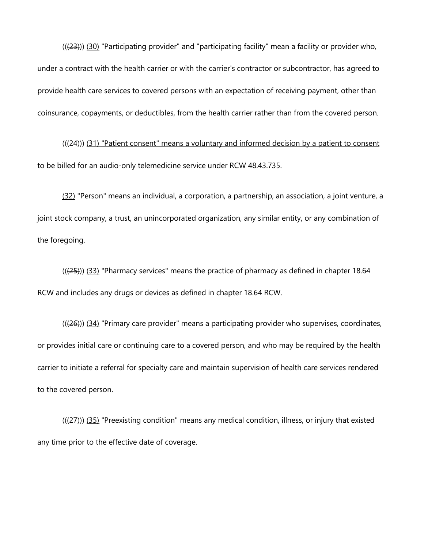((<del>(23)</del>)) <u>(30)</u> "Participating provider" and "participating facility" mean a facility or provider who, under a contract with the health carrier or with the carrier's contractor or subcontractor, has agreed to provide health care services to covered persons with an expectation of receiving payment, other than coinsurance, copayments, or deductibles, from the health carrier rather than from the covered person.

 $((24))$  (31) "Patient consent" means a voluntary and informed decision by a patient to consent to be billed for an audio-only telemedicine service under RCW 48.43.735.

 joint stock company, a trust, an unincorporated organization, any similar entity, or any combination of (32) "Person" means an individual, a corporation, a partnership, an association, a joint venture, a the foregoing.

((<del>(25)</del>)) <u>(33)</u> "Pharmacy services" means the practice of pharmacy as defined in chapter 18.64 RCW and includes any drugs or devices as defined in chapter 18.64 RCW.

 $((26))$  (34) "Primary care provider" means a participating provider who supervises, coordinates, or provides initial care or continuing care to a covered person, and who may be required by the health carrier to initiate a referral for specialty care and maintain supervision of health care services rendered to the covered person.

 $((27))$  (35) "Preexisting condition" means any medical condition, illness, or injury that existed any time prior to the effective date of coverage.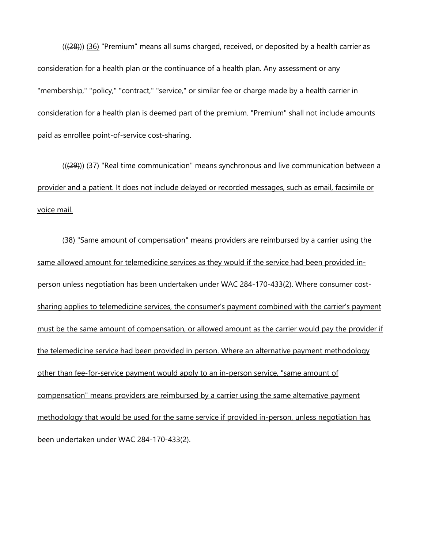$((28))$  (36) "Premium" means all sums charged, received, or deposited by a health carrier as consideration for a health plan or the continuance of a health plan. Any assessment or any "membership," "policy," "contract," "service," or similar fee or charge made by a health carrier in consideration for a health plan is deemed part of the premium. "Premium" shall not include amounts paid as enrollee point-of-service cost-sharing.

(((29))) (37) "Real time communication" means synchronous and live communication between a provider and a patient. It does not include delayed or recorded messages, such as email, facsimile or voice mail.

(38) "Same amount of compensation" means providers are reimbursed by a carrier using the same allowed amount for telemedicine services as they would if the service had been provided inperson unless negotiation has been undertaken under WAC 284-170-433(2). Where consumer costsharing applies to telemedicine services, the consumer's payment combined with the carrier's payment must be the same amount of compensation, or allowed amount as the carrier would pay the provider if the telemedicine service had been provided in person. Where an alternative payment methodology other than fee-for-service payment would apply to an in-person service, "same amount of compensation" means providers are reimbursed by a carrier using the same alternative payment methodology that would be used for the same service if provided in-person, unless negotiation has been undertaken under WAC 284-170-433(2).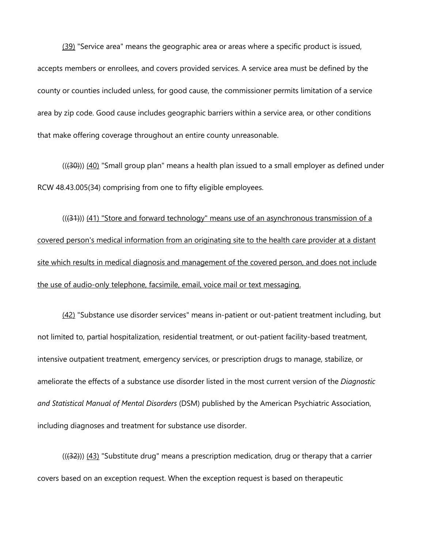(39) "Service area" means the geographic area or areas where a specific product is issued, accepts members or enrollees, and covers provided services. A service area must be defined by the county or counties included unless, for good cause, the commissioner permits limitation of a service area by zip code. Good cause includes geographic barriers within a service area, or other conditions that make offering coverage throughout an entire county unreasonable.

 $((30))$  (40) "Small group plan" means a health plan issued to a small employer as defined under RCW 48.43.005(34) comprising from one to fifty eligible employees.

 $((31))$  (41) "Store and forward technology" means use of an asynchronous transmission of a covered person's medical information from an originating site to the health care provider at a distant site which results in medical diagnosis and management of the covered person, and does not include the use of audio-only telephone, facsimile, email, voice mail or text messaging.

(42) "Substance use disorder services" means in-patient or out-patient treatment including, but not limited to, partial hospitalization, residential treatment, or out-patient facility-based treatment, intensive outpatient treatment, emergency services, or prescription drugs to manage, stabilize, or ameliorate the effects of a substance use disorder listed in the most current version of the *Diagnostic and Statistical Manual of Mental Disorders* (DSM) published by the American Psychiatric Association, including diagnoses and treatment for substance use disorder.

 $((32))$  (43) "Substitute drug" means a prescription medication, drug or therapy that a carrier covers based on an exception request. When the exception request is based on therapeutic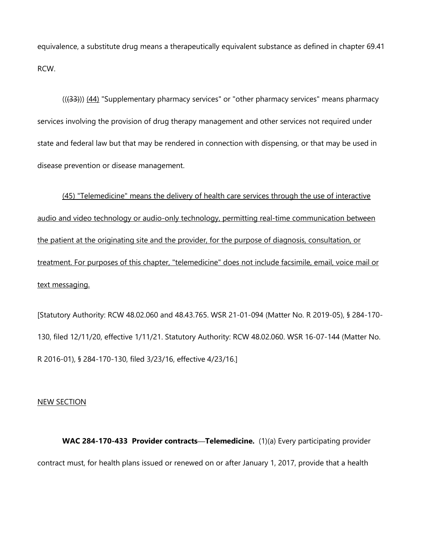equivalence, a substitute drug means a therapeutically equivalent substance as defined in chapter 69.41 RCW.

 $((33))$   $(44)$  "Supplementary pharmacy services" or "other pharmacy services" means pharmacy services involving the provision of drug therapy management and other services not required under state and federal law but that may be rendered in connection with dispensing, or that may be used in disease prevention or disease management.

 treatment. For purposes of this chapter, "telemedicine" does not include facsimile, email, voice mail or (45) "Telemedicine" means the delivery of health care services through the use of interactive audio and video technology or audio-only technology, permitting real-time communication between the patient at the originating site and the provider, for the purpose of diagnosis, consultation, or text messaging.

[Statutory Authority: RCW 48.02.060 and 48.43.765. WSR 21-01-094 (Matter No. R 2019-05), § 284-170- 130, filed 12/11/20, effective 1/11/21. Statutory Authority: RCW 48.02.060. WSR 16-07-144 (Matter No. R 2016-01), § 284-170-130, filed 3/23/16, effective 4/23/16.]

#### NEW SECTION

 **WAC 284-170-433 Provider contracts—Telemedicine.** (1)(a) Every participating provider contract must, for health plans issued or renewed on or after January 1, 2017, provide that a health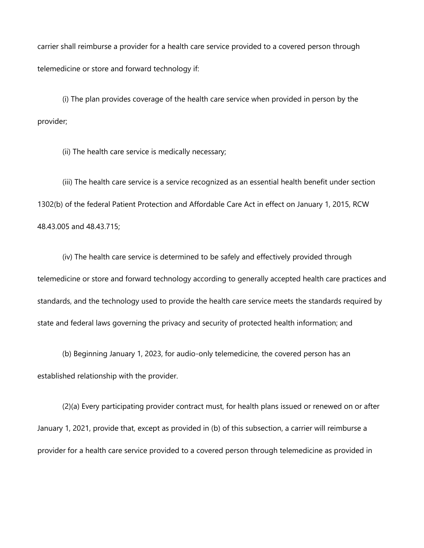carrier shall reimburse a provider for a health care service provided to a covered person through telemedicine or store and forward technology if:

(i) The plan provides coverage of the health care service when provided in person by the provider;

(ii) The health care service is medically necessary;

(iii) The health care service is a service recognized as an essential health benefit under section 1302(b) of the federal Patient Protection and Affordable Care Act in effect on January 1, 2015, RCW 48.43.005 and 48.43.715;

(iv) The health care service is determined to be safely and effectively provided through telemedicine or store and forward technology according to generally accepted health care practices and standards, and the technology used to provide the health care service meets the standards required by state and federal laws governing the privacy and security of protected health information; and

 (b) Beginning January 1, 2023, for audio-only telemedicine, the covered person has an established relationship with the provider.

 January 1, 2021, provide that, except as provided in (b) of this subsection, a carrier will reimburse a (2)(a) Every participating provider contract must, for health plans issued or renewed on or after provider for a health care service provided to a covered person through telemedicine as provided in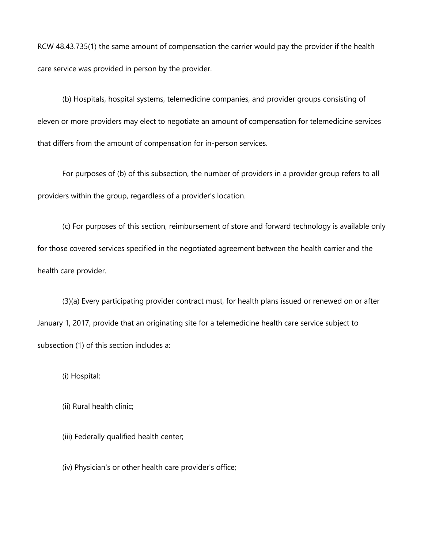RCW 48.43.735(1) the same amount of compensation the carrier would pay the provider if the health care service was provided in person by the provider.

(b) Hospitals, hospital systems, telemedicine companies, and provider groups consisting of eleven or more providers may elect to negotiate an amount of compensation for telemedicine services that differs from the amount of compensation for in-person services.

 For purposes of (b) of this subsection, the number of providers in a provider group refers to all providers within the group, regardless of a provider's location.

(c) For purposes of this section, reimbursement of store and forward technology is available only for those covered services specified in the negotiated agreement between the health carrier and the health care provider.

(3)(a) Every participating provider contract must, for health plans issued or renewed on or after January 1, 2017, provide that an originating site for a telemedicine health care service subject to subsection (1) of this section includes a:

(i) Hospital;

(ii) Rural health clinic;

(iii) Federally qualified health center;

(iv) Physician's or other health care provider's office;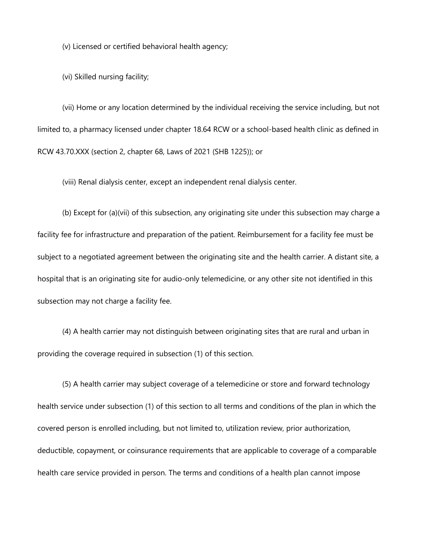(v) Licensed or certified behavioral health agency;

(vi) Skilled nursing facility;

(vii) Home or any location determined by the individual receiving the service including, but not limited to, a pharmacy licensed under chapter 18.64 RCW or a school-based health clinic as defined in RCW 43.70.XXX (section 2, chapter 68, Laws of 2021 (SHB 1225)); or

(viii) Renal dialysis center, except an independent renal dialysis center.

(b) Except for (a)(vii) of this subsection, any originating site under this subsection may charge a facility fee for infrastructure and preparation of the patient. Reimbursement for a facility fee must be subject to a negotiated agreement between the originating site and the health carrier. A distant site, a hospital that is an originating site for audio-only telemedicine, or any other site not identified in this subsection may not charge a facility fee.

(4) A health carrier may not distinguish between originating sites that are rural and urban in providing the coverage required in subsection (1) of this section.

(5) A health carrier may subject coverage of a telemedicine or store and forward technology health service under subsection (1) of this section to all terms and conditions of the plan in which the covered person is enrolled including, but not limited to, utilization review, prior authorization, deductible, copayment, or coinsurance requirements that are applicable to coverage of a comparable health care service provided in person. The terms and conditions of a health plan cannot impose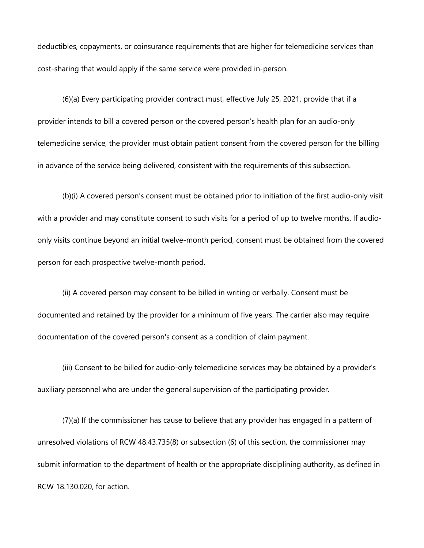cost-sharing that would apply if the same service were provided in-person. deductibles, copayments, or coinsurance requirements that are higher for telemedicine services than

(6)(a) Every participating provider contract must, effective July 25, 2021, provide that if a provider intends to bill a covered person or the covered person's health plan for an audio-only telemedicine service, the provider must obtain patient consent from the covered person for the billing in advance of the service being delivered, consistent with the requirements of this subsection.

 with a provider and may constitute consent to such visits for a period of up to twelve months. If audio-(b)(i) A covered person's consent must be obtained prior to initiation of the first audio-only visit only visits continue beyond an initial twelve-month period, consent must be obtained from the covered person for each prospective twelve-month period.

(ii) A covered person may consent to be billed in writing or verbally. Consent must be documented and retained by the provider for a minimum of five years. The carrier also may require documentation of the covered person's consent as a condition of claim payment.

(iii) Consent to be billed for audio-only telemedicine services may be obtained by a provider's auxiliary personnel who are under the general supervision of the participating provider.

(7)(a) If the commissioner has cause to believe that any provider has engaged in a pattern of unresolved violations of RCW 48.43.735(8) or subsection (6) of this section, the commissioner may submit information to the department of health or the appropriate disciplining authority, as defined in RCW 18.130.020, for action.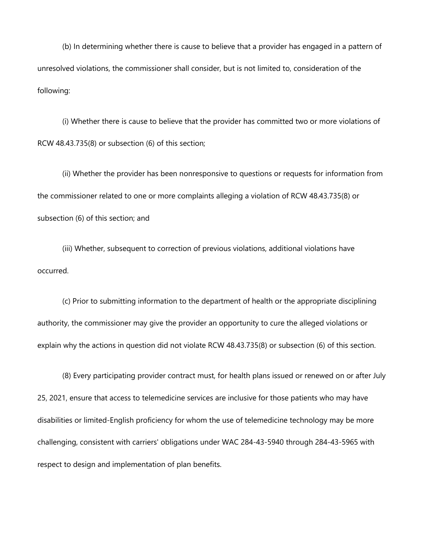(b) In determining whether there is cause to believe that a provider has engaged in a pattern of unresolved violations, the commissioner shall consider, but is not limited to, consideration of the following:

(i) Whether there is cause to believe that the provider has committed two or more violations of RCW 48.43.735(8) or subsection (6) of this section;

(ii) Whether the provider has been nonresponsive to questions or requests for information from the commissioner related to one or more complaints alleging a violation of RCW 48.43.735(8) or subsection (6) of this section; and

(iii) Whether, subsequent to correction of previous violations, additional violations have occurred.

(c) Prior to submitting information to the department of health or the appropriate disciplining authority, the commissioner may give the provider an opportunity to cure the alleged violations or explain why the actions in question did not violate RCW 48.43.735(8) or subsection (6) of this section.

(8) Every participating provider contract must, for health plans issued or renewed on or after July 25, 2021, ensure that access to telemedicine services are inclusive for those patients who may have disabilities or limited-English proficiency for whom the use of telemedicine technology may be more challenging, consistent with carriers' obligations under WAC 284-43-5940 through 284-43-5965 with respect to design and implementation of plan benefits.